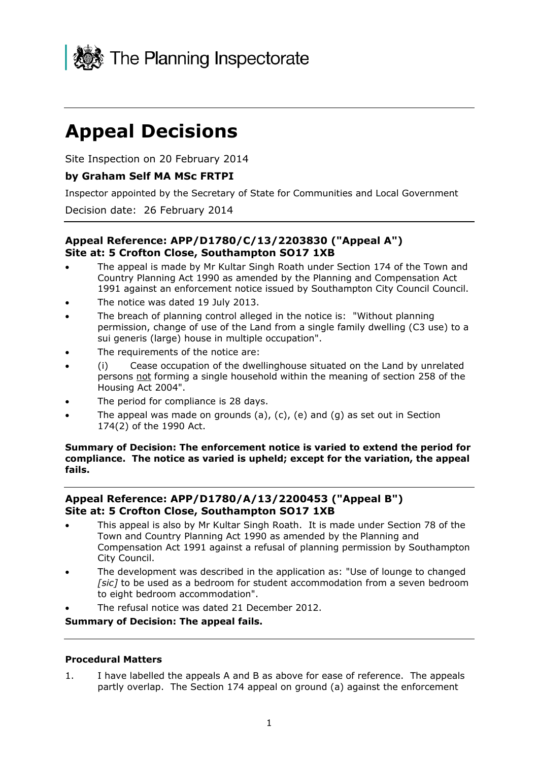

# **Appeal Decisions**

Site Inspection on 20 February 2014

# **by Graham Self MA MSc FRTPI**

Inspector appointed by the Secretary of State for Communities and Local Government

Decision date: 26 February 2014

## **Appeal Reference: APP/D1780/C/13/2203830 ("Appeal A") Site at: 5 Crofton Close, Southampton SO17 1XB**

- The appeal is made by Mr Kultar Singh Roath under Section 174 of the Town and Country Planning Act 1990 as amended by the Planning and Compensation Act 1991 against an enforcement notice issued by Southampton City Council Council.
- The notice was dated 19 July 2013.
- The breach of planning control alleged in the notice is: "Without planning permission, change of use of the Land from a single family dwelling (C3 use) to a sui generis (large) house in multiple occupation".
- The requirements of the notice are:
- (i) Cease occupation of the dwellinghouse situated on the Land by unrelated persons not forming a single household within the meaning of section 258 of the Housing Act 2004".
- The period for compliance is 28 days.
- The appeal was made on grounds (a), (c), (e) and (g) as set out in Section 174(2) of the 1990 Act.

**Summary of Decision: The enforcement notice is varied to extend the period for compliance. The notice as varied is upheld; except for the variation, the appeal fails.**

# **Appeal Reference: APP/D1780/A/13/2200453 ("Appeal B") Site at: 5 Crofton Close, Southampton SO17 1XB**

- This appeal is also by Mr Kultar Singh Roath. It is made under Section 78 of the Town and Country Planning Act 1990 as amended by the Planning and Compensation Act 1991 against a refusal of planning permission by Southampton City Council.
- The development was described in the application as: "Use of lounge to changed *[sic]* to be used as a bedroom for student accommodation from a seven bedroom to eight bedroom accommodation".
- The refusal notice was dated 21 December 2012.

**Summary of Decision: The appeal fails.**

## **Procedural Matters**

1. I have labelled the appeals A and B as above for ease of reference. The appeals partly overlap. The Section 174 appeal on ground (a) against the enforcement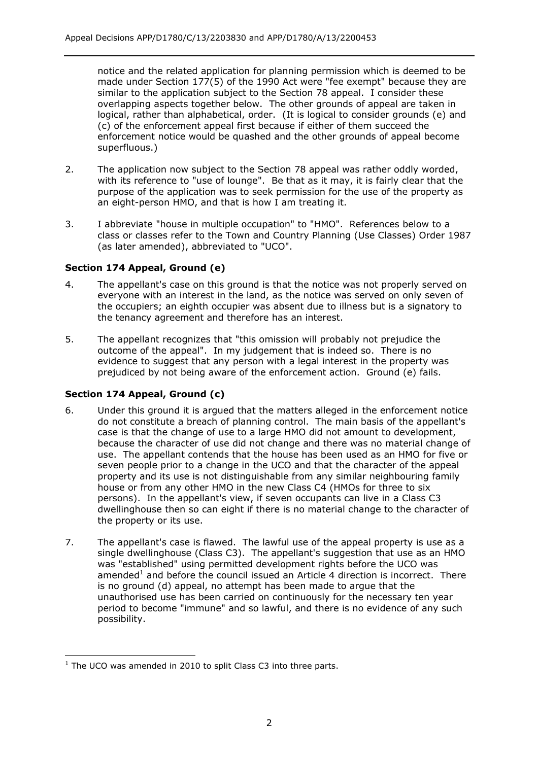notice and the related application for planning permission which is deemed to be made under Section 177(5) of the 1990 Act were "fee exempt" because they are similar to the application subject to the Section 78 appeal. I consider these overlapping aspects together below. The other grounds of appeal are taken in logical, rather than alphabetical, order. (It is logical to consider grounds (e) and (c) of the enforcement appeal first because if either of them succeed the enforcement notice would be quashed and the other grounds of appeal become superfluous.)

- 2. The application now subject to the Section 78 appeal was rather oddly worded, with its reference to "use of lounge". Be that as it may, it is fairly clear that the purpose of the application was to seek permission for the use of the property as an eight-person HMO, and that is how I am treating it.
- 3. I abbreviate "house in multiple occupation" to "HMO". References below to a class or classes refer to the Town and Country Planning (Use Classes) Order 1987 (as later amended), abbreviated to "UCO".

## **Section 174 Appeal, Ground (e)**

- 4. The appellant's case on this ground is that the notice was not properly served on everyone with an interest in the land, as the notice was served on only seven of the occupiers; an eighth occupier was absent due to illness but is a signatory to the tenancy agreement and therefore has an interest.
- 5. The appellant recognizes that "this omission will probably not prejudice the outcome of the appeal". In my judgement that is indeed so. There is no evidence to suggest that any person with a legal interest in the property was prejudiced by not being aware of the enforcement action. Ground (e) fails.

## **Section 174 Appeal, Ground (c)**

- 6. Under this ground it is argued that the matters alleged in the enforcement notice do not constitute a breach of planning control. The main basis of the appellant's case is that the change of use to a large HMO did not amount to development, because the character of use did not change and there was no material change of use. The appellant contends that the house has been used as an HMO for five or seven people prior to a change in the UCO and that the character of the appeal property and its use is not distinguishable from any similar neighbouring family house or from any other HMO in the new Class C4 (HMOs for three to six persons). In the appellant's view, if seven occupants can live in a Class C3 dwellinghouse then so can eight if there is no material change to the character of the property or its use.
- 7. The appellant's case is flawed. The lawful use of the appeal property is use as a single dwellinghouse (Class C3). The appellant's suggestion that use as an HMO was "established" using permitted development rights before the UCO was amended<sup>1</sup> and before the council issued an Article 4 direction is incorrect. There is no ground (d) appeal, no attempt has been made to argue that the unauthorised use has been carried on continuously for the necessary ten year period to become "immune" and so lawful, and there is no evidence of any such possibility.

<sup>-</sup> $1$  The UCO was amended in 2010 to split Class C3 into three parts.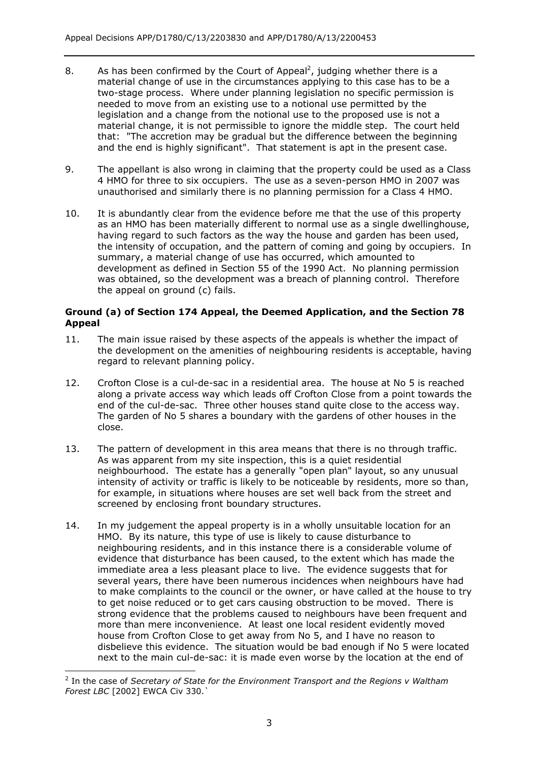- 8. As has been confirmed by the Court of Appeal<sup>2</sup>, judging whether there is a material change of use in the circumstances applying to this case has to be a two-stage process. Where under planning legislation no specific permission is needed to move from an existing use to a notional use permitted by the legislation and a change from the notional use to the proposed use is not a material change, it is not permissible to ignore the middle step. The court held that: "The accretion may be gradual but the difference between the beginning and the end is highly significant". That statement is apt in the present case.
- 9. The appellant is also wrong in claiming that the property could be used as a Class 4 HMO for three to six occupiers. The use as a seven-person HMO in 2007 was unauthorised and similarly there is no planning permission for a Class 4 HMO.
- 10. It is abundantly clear from the evidence before me that the use of this property as an HMO has been materially different to normal use as a single dwellinghouse, having regard to such factors as the way the house and garden has been used, the intensity of occupation, and the pattern of coming and going by occupiers. In summary, a material change of use has occurred, which amounted to development as defined in Section 55 of the 1990 Act. No planning permission was obtained, so the development was a breach of planning control. Therefore the appeal on ground (c) fails.

## **Ground (a) of Section 174 Appeal, the Deemed Application, and the Section 78 Appeal**

- 11. The main issue raised by these aspects of the appeals is whether the impact of the development on the amenities of neighbouring residents is acceptable, having regard to relevant planning policy.
- 12. Crofton Close is a cul-de-sac in a residential area. The house at No 5 is reached along a private access way which leads off Crofton Close from a point towards the end of the cul-de-sac. Three other houses stand quite close to the access way. The garden of No 5 shares a boundary with the gardens of other houses in the close.
- 13. The pattern of development in this area means that there is no through traffic. As was apparent from my site inspection, this is a quiet residential neighbourhood. The estate has a generally "open plan" layout, so any unusual intensity of activity or traffic is likely to be noticeable by residents, more so than, for example, in situations where houses are set well back from the street and screened by enclosing front boundary structures.
- 14. In my judgement the appeal property is in a wholly unsuitable location for an HMO. By its nature, this type of use is likely to cause disturbance to neighbouring residents, and in this instance there is a considerable volume of evidence that disturbance has been caused, to the extent which has made the immediate area a less pleasant place to live. The evidence suggests that for several years, there have been numerous incidences when neighbours have had to make complaints to the council or the owner, or have called at the house to try to get noise reduced or to get cars causing obstruction to be moved. There is strong evidence that the problems caused to neighbours have been frequent and more than mere inconvenience. At least one local resident evidently moved house from Crofton Close to get away from No 5, and I have no reason to disbelieve this evidence. The situation would be bad enough if No 5 were located next to the main cul-de-sac: it is made even worse by the location at the end of

-

<sup>&</sup>lt;sup>2</sup> In the case of *Secretary of State for the Environment Transport and the Regions v Waltham Forest LBC* [2002] EWCA Civ 330.`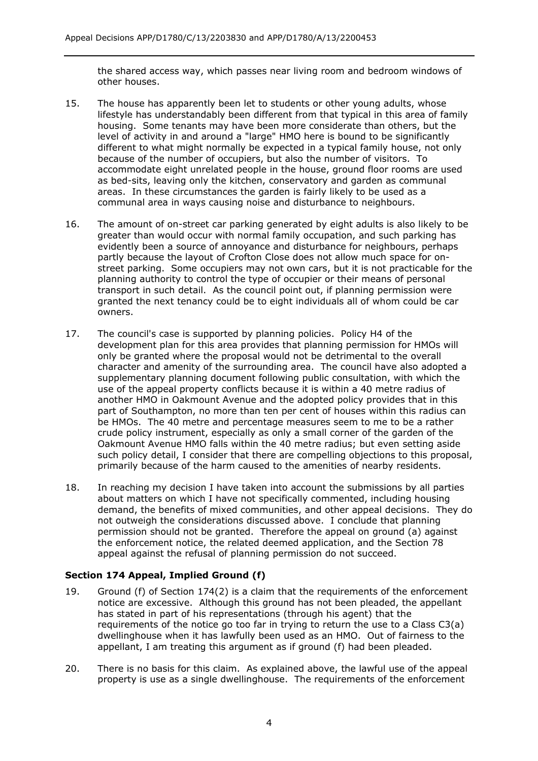the shared access way, which passes near living room and bedroom windows of other houses.

- 15. The house has apparently been let to students or other young adults, whose lifestyle has understandably been different from that typical in this area of family housing. Some tenants may have been more considerate than others, but the level of activity in and around a "large" HMO here is bound to be significantly different to what might normally be expected in a typical family house, not only because of the number of occupiers, but also the number of visitors. To accommodate eight unrelated people in the house, ground floor rooms are used as bed-sits, leaving only the kitchen, conservatory and garden as communal areas. In these circumstances the garden is fairly likely to be used as a communal area in ways causing noise and disturbance to neighbours.
- 16. The amount of on-street car parking generated by eight adults is also likely to be greater than would occur with normal family occupation, and such parking has evidently been a source of annoyance and disturbance for neighbours, perhaps partly because the layout of Crofton Close does not allow much space for onstreet parking. Some occupiers may not own cars, but it is not practicable for the planning authority to control the type of occupier or their means of personal transport in such detail. As the council point out, if planning permission were granted the next tenancy could be to eight individuals all of whom could be car owners.
- 17. The council's case is supported by planning policies. Policy H4 of the development plan for this area provides that planning permission for HMOs will only be granted where the proposal would not be detrimental to the overall character and amenity of the surrounding area. The council have also adopted a supplementary planning document following public consultation, with which the use of the appeal property conflicts because it is within a 40 metre radius of another HMO in Oakmount Avenue and the adopted policy provides that in this part of Southampton, no more than ten per cent of houses within this radius can be HMOs. The 40 metre and percentage measures seem to me to be a rather crude policy instrument, especially as only a small corner of the garden of the Oakmount Avenue HMO falls within the 40 metre radius; but even setting aside such policy detail, I consider that there are compelling objections to this proposal, primarily because of the harm caused to the amenities of nearby residents.
- 18. In reaching my decision I have taken into account the submissions by all parties about matters on which I have not specifically commented, including housing demand, the benefits of mixed communities, and other appeal decisions. They do not outweigh the considerations discussed above. I conclude that planning permission should not be granted. Therefore the appeal on ground (a) against the enforcement notice, the related deemed application, and the Section 78 appeal against the refusal of planning permission do not succeed.

## **Section 174 Appeal, Implied Ground (f)**

- 19. Ground (f) of Section 174(2) is a claim that the requirements of the enforcement notice are excessive. Although this ground has not been pleaded, the appellant has stated in part of his representations (through his agent) that the requirements of the notice go too far in trying to return the use to a Class C3(a) dwellinghouse when it has lawfully been used as an HMO. Out of fairness to the appellant, I am treating this argument as if ground (f) had been pleaded.
- 20. There is no basis for this claim. As explained above, the lawful use of the appeal property is use as a single dwellinghouse. The requirements of the enforcement